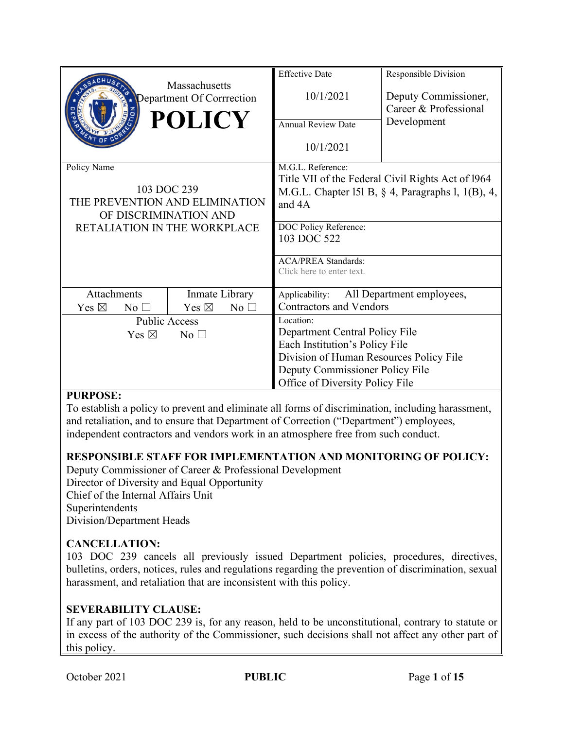|                                                             |                                   | <b>Effective Date</b>                             | Responsible Division                                 |  |
|-------------------------------------------------------------|-----------------------------------|---------------------------------------------------|------------------------------------------------------|--|
| Massachusetts<br>Department Of Corrrection<br><b>POLICY</b> |                                   | 10/1/2021                                         | Deputy Commissioner,<br>Career & Professional        |  |
|                                                             |                                   | Annual Review Date                                | Development                                          |  |
|                                                             |                                   | 10/1/2021                                         |                                                      |  |
| Policy Name                                                 |                                   | M.G.L. Reference:                                 |                                                      |  |
|                                                             |                                   | Title VII of the Federal Civil Rights Act of 1964 |                                                      |  |
| 103 DOC 239                                                 |                                   |                                                   | M.G.L. Chapter 151 B, $\S$ 4, Paragraphs 1, 1(B), 4, |  |
| THE PREVENTION AND ELIMINATION                              |                                   | and 4A                                            |                                                      |  |
| OF DISCRIMINATION AND                                       |                                   | DOC Policy Reference:                             |                                                      |  |
| RETALIATION IN THE WORKPLACE                                |                                   | 103 DOC 522                                       |                                                      |  |
|                                                             |                                   |                                                   |                                                      |  |
|                                                             |                                   | <b>ACA/PREA Standards:</b>                        |                                                      |  |
|                                                             |                                   | Click here to enter text.                         |                                                      |  |
| Attachments                                                 | Inmate Library                    | Applicability:                                    | All Department employees,                            |  |
| Yes $\boxtimes$<br>No <sub>1</sub>                          | Yes $\boxtimes$<br>$No$ $\square$ | <b>Contractors and Vendors</b>                    |                                                      |  |
| <b>Public Access</b>                                        |                                   | Location:                                         |                                                      |  |
| Yes $\boxtimes$<br>No <sub>1</sub>                          |                                   | Department Central Policy File                    |                                                      |  |
|                                                             |                                   | Each Institution's Policy File                    |                                                      |  |
|                                                             |                                   | Division of Human Resources Policy File           |                                                      |  |
|                                                             |                                   | Deputy Commissioner Policy File                   |                                                      |  |
|                                                             |                                   | Office of Diversity Policy File                   |                                                      |  |

## **PURPOSE:**

To establish a policy to prevent and eliminate all forms of discrimination, including harassment, and retaliation, and to ensure that Department of Correction ("Department") employees, independent contractors and vendors work in an atmosphere free from such conduct.

## **RESPONSIBLE STAFF FOR IMPLEMENTATION AND MONITORING OF POLICY:**

Deputy Commissioner of Career & Professional Development Director of Diversity and Equal Opportunity Chief of the Internal Affairs Unit Superintendents Division/Department Heads

# **CANCELLATION:**

103 DOC 239 cancels all previously issued Department policies, procedures, directives, bulletins, orders, notices, rules and regulations regarding the prevention of discrimination, sexual harassment, and retaliation that are inconsistent with this policy.

## **SEVERABILITY CLAUSE:**

If any part of 103 DOC 239 is, for any reason, held to be unconstitutional, contrary to statute or in excess of the authority of the Commissioner, such decisions shall not affect any other part of this policy.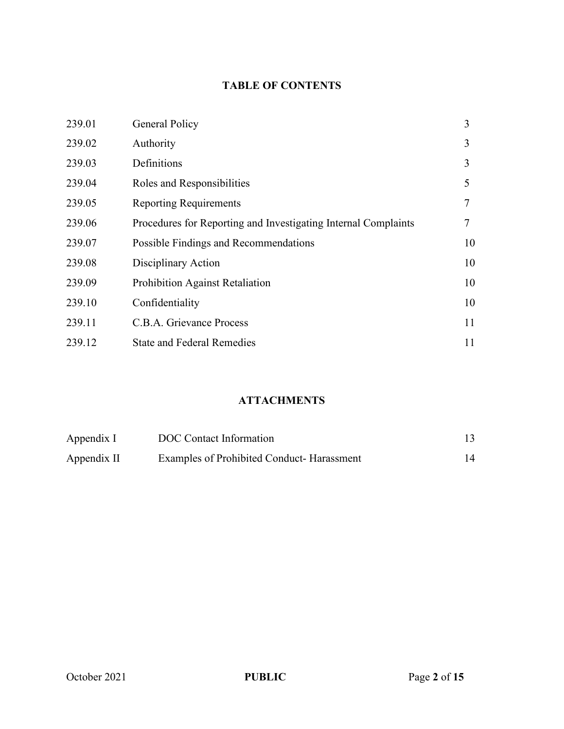# **TABLE OF CONTENTS**

| 239.01 | General Policy                                                 | 3  |
|--------|----------------------------------------------------------------|----|
| 239.02 | Authority                                                      | 3  |
| 239.03 | Definitions                                                    | 3  |
| 239.04 | Roles and Responsibilities                                     | 5  |
| 239.05 | <b>Reporting Requirements</b>                                  | 7  |
| 239.06 | Procedures for Reporting and Investigating Internal Complaints |    |
| 239.07 | Possible Findings and Recommendations                          | 10 |
| 239.08 | Disciplinary Action                                            | 10 |
| 239.09 | Prohibition Against Retaliation                                | 10 |
| 239.10 | Confidentiality                                                | 10 |
| 239.11 | C.B.A. Grievance Process                                       | 11 |
| 239.12 | <b>State and Federal Remedies</b>                              | 11 |

# **ATTACHMENTS**

| Appendix I  | DOC Contact Information                   |    |
|-------------|-------------------------------------------|----|
| Appendix II | Examples of Prohibited Conduct-Harassment | 14 |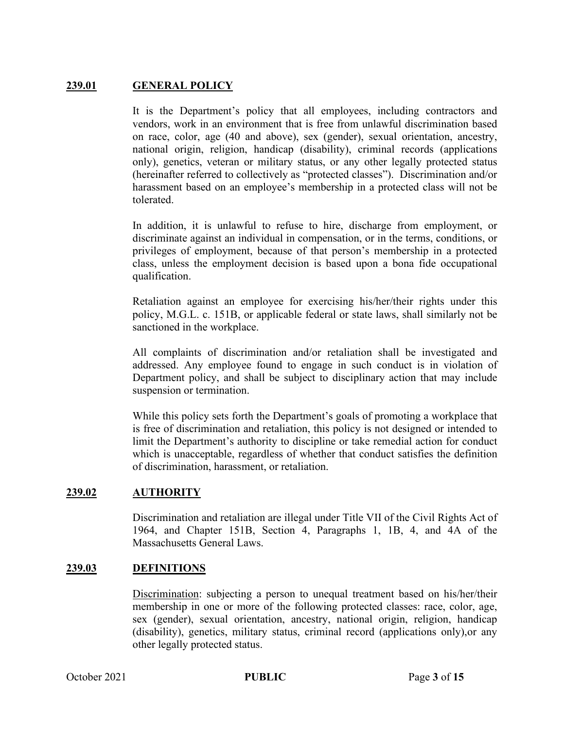## **239.01 GENERAL POLICY**

It is the Department's policy that all employees, including contractors and vendors, work in an environment that is free from unlawful discrimination based on race, color, age (40 and above), sex (gender), sexual orientation, ancestry, national origin, religion, handicap (disability), criminal records (applications only), genetics, veteran or military status, or any other legally protected status (hereinafter referred to collectively as "protected classes"). Discrimination and/or harassment based on an employee's membership in a protected class will not be tolerated.

In addition, it is unlawful to refuse to hire, discharge from employment, or discriminate against an individual in compensation, or in the terms, conditions, or privileges of employment, because of that person's membership in a protected class, unless the employment decision is based upon a bona fide occupational qualification.

Retaliation against an employee for exercising his/her/their rights under this policy, M.G.L. c. 151B, or applicable federal or state laws, shall similarly not be sanctioned in the workplace.

All complaints of discrimination and/or retaliation shall be investigated and addressed. Any employee found to engage in such conduct is in violation of Department policy, and shall be subject to disciplinary action that may include suspension or termination.

While this policy sets forth the Department's goals of promoting a workplace that is free of discrimination and retaliation, this policy is not designed or intended to limit the Department's authority to discipline or take remedial action for conduct which is unacceptable, regardless of whether that conduct satisfies the definition of discrimination, harassment, or retaliation.

## **239.02 AUTHORITY**

Discrimination and retaliation are illegal under Title VII of the Civil Rights Act of 1964, and Chapter 151B, Section 4, Paragraphs 1, 1B, 4, and 4A of the Massachusetts General Laws.

## **239.03 DEFINITIONS**

Discrimination: subjecting a person to unequal treatment based on his/her/their membership in one or more of the following protected classes: race, color, age, sex (gender), sexual orientation, ancestry, national origin, religion, handicap (disability), genetics, military status, criminal record (applications only),or any other legally protected status.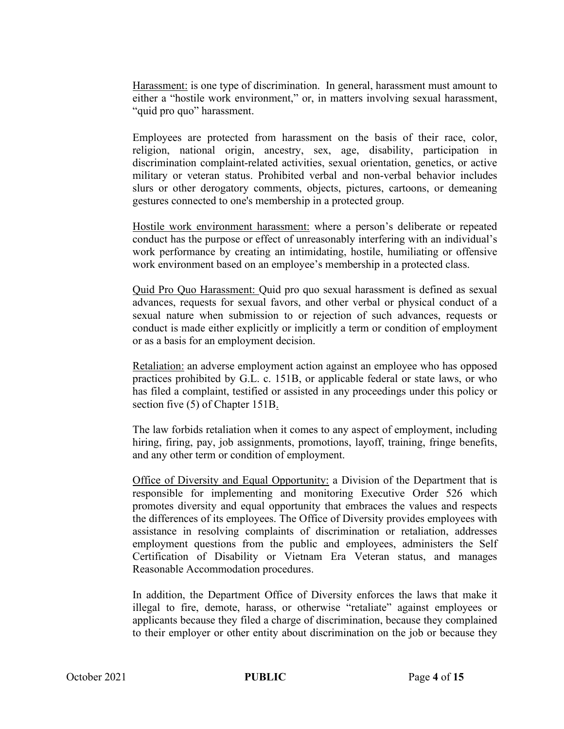Harassment: is one type of discrimination. In general, harassment must amount to either a "hostile work environment," or, in matters involving sexual harassment, "quid pro quo" harassment.

Employees are protected from harassment on the basis of their race, color, religion, national origin, ancestry, sex, age, disability, participation in discrimination complaint-related activities, sexual orientation, genetics, or active military or veteran status. Prohibited verbal and non-verbal behavior includes slurs or other derogatory comments, objects, pictures, cartoons, or demeaning gestures connected to one's membership in a protected group.

Hostile work environment harassment: where a person's deliberate or repeated conduct has the purpose or effect of unreasonably interfering with an individual's work performance by creating an intimidating, hostile, humiliating or offensive work environment based on an employee's membership in a protected class.

Quid Pro Quo Harassment: Quid pro quo sexual harassment is defined as sexual advances, requests for sexual favors, and other verbal or physical conduct of a sexual nature when submission to or rejection of such advances, requests or conduct is made either explicitly or implicitly a term or condition of employment or as a basis for an employment decision.

Retaliation: an adverse employment action against an employee who has opposed practices prohibited by G.L. c. 151B, or applicable federal or state laws, or who has filed a complaint, testified or assisted in any proceedings under this policy or section five (5) of Chapter 151B.

The law forbids retaliation when it comes to any aspect of employment, including hiring, firing, pay, job assignments, promotions, layoff, training, fringe benefits, and any other term or condition of employment.

Office of Diversity and Equal Opportunity: a Division of the Department that is responsible for implementing and monitoring Executive Order 526 which promotes diversity and equal opportunity that embraces the values and respects the differences of its employees. The Office of Diversity provides employees with assistance in resolving complaints of discrimination or retaliation, addresses employment questions from the public and employees, administers the Self Certification of Disability or Vietnam Era Veteran status, and manages Reasonable Accommodation procedures.

In addition, the Department Office of Diversity enforces the laws that make it illegal to fire, demote, harass, or otherwise "retaliate" against employees or applicants because they filed a charge of discrimination, because they complained to their employer or other entity about discrimination on the job or because they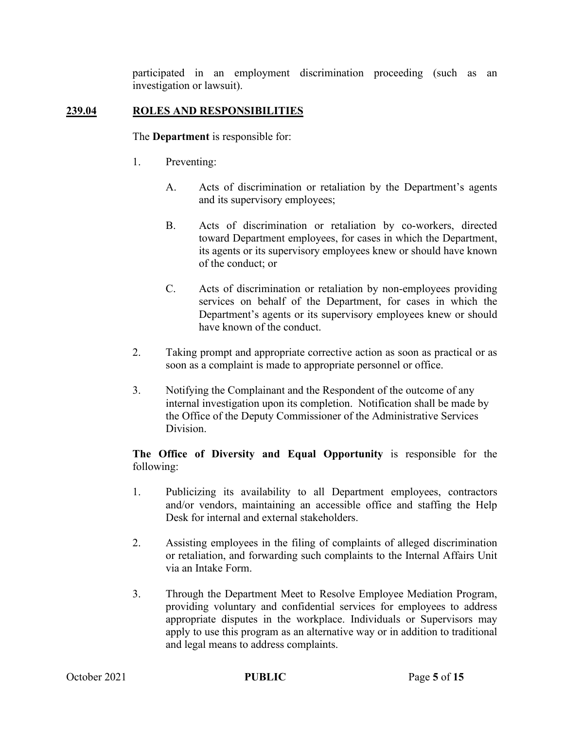participated in an employment discrimination proceeding (such as an investigation or lawsuit).

## **239.04 ROLES AND RESPONSIBILITIES**

The **Department** is responsible for:

- 1. Preventing:
	- A. Acts of discrimination or retaliation by the Department's agents and its supervisory employees;
	- B. Acts of discrimination or retaliation by co-workers, directed toward Department employees, for cases in which the Department, its agents or its supervisory employees knew or should have known of the conduct; or
	- C. Acts of discrimination or retaliation by non-employees providing services on behalf of the Department, for cases in which the Department's agents or its supervisory employees knew or should have known of the conduct.
- 2. Taking prompt and appropriate corrective action as soon as practical or as soon as a complaint is made to appropriate personnel or office.
- 3. Notifying the Complainant and the Respondent of the outcome of any internal investigation upon its completion. Notification shall be made by the Office of the Deputy Commissioner of the Administrative Services Division.

#### **The Office of Diversity and Equal Opportunity** is responsible for the following:

- 1. Publicizing its availability to all Department employees, contractors and/or vendors, maintaining an accessible office and staffing the Help Desk for internal and external stakeholders.
- 2. Assisting employees in the filing of complaints of alleged discrimination or retaliation, and forwarding such complaints to the Internal Affairs Unit via an Intake Form.
- 3. Through the Department Meet to Resolve Employee Mediation Program, providing voluntary and confidential services for employees to address appropriate disputes in the workplace. Individuals or Supervisors may apply to use this program as an alternative way or in addition to traditional and legal means to address complaints.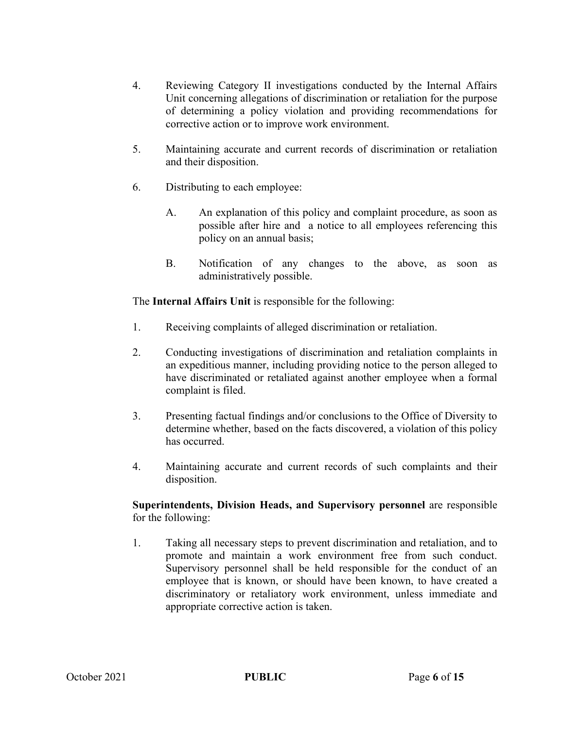- 4. Reviewing Category II investigations conducted by the Internal Affairs Unit concerning allegations of discrimination or retaliation for the purpose of determining a policy violation and providing recommendations for corrective action or to improve work environment.
- 5. Maintaining accurate and current records of discrimination or retaliation and their disposition.
- 6. Distributing to each employee:
	- A. An explanation of this policy and complaint procedure, as soon as possible after hire and a notice to all employees referencing this policy on an annual basis;
	- B. Notification of any changes to the above, as soon as administratively possible.

The **Internal Affairs Unit** is responsible for the following:

- 1. Receiving complaints of alleged discrimination or retaliation.
- 2. Conducting investigations of discrimination and retaliation complaints in an expeditious manner, including providing notice to the person alleged to have discriminated or retaliated against another employee when a formal complaint is filed.
- 3. Presenting factual findings and/or conclusions to the Office of Diversity to determine whether, based on the facts discovered, a violation of this policy has occurred.
- 4. Maintaining accurate and current records of such complaints and their disposition.

**Superintendents, Division Heads, and Supervisory personnel** are responsible for the following:

1. Taking all necessary steps to prevent discrimination and retaliation, and to promote and maintain a work environment free from such conduct. Supervisory personnel shall be held responsible for the conduct of an employee that is known, or should have been known, to have created a discriminatory or retaliatory work environment, unless immediate and appropriate corrective action is taken.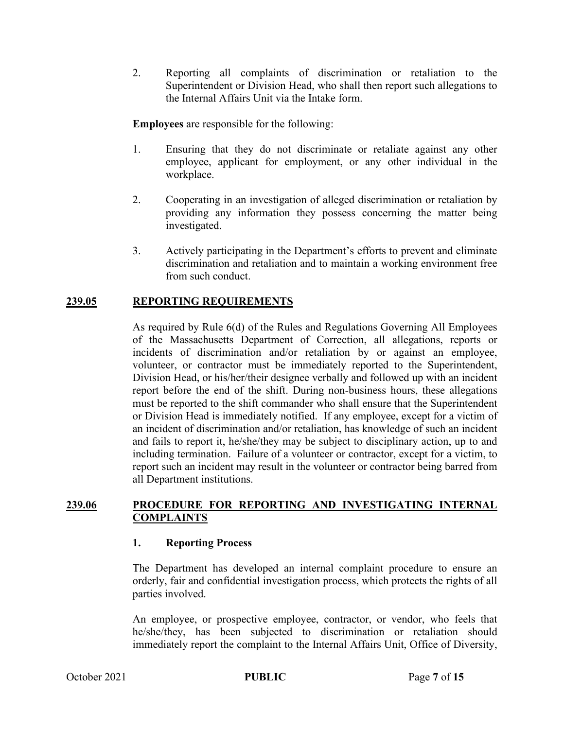2. Reporting all complaints of discrimination or retaliation to the Superintendent or Division Head, who shall then report such allegations to the Internal Affairs Unit via the Intake form.

**Employees** are responsible for the following:

- 1. Ensuring that they do not discriminate or retaliate against any other employee, applicant for employment, or any other individual in the workplace.
- 2. Cooperating in an investigation of alleged discrimination or retaliation by providing any information they possess concerning the matter being investigated.
- 3. Actively participating in the Department's efforts to prevent and eliminate discrimination and retaliation and to maintain a working environment free from such conduct.

## **239.05 REPORTING REQUIREMENTS**

As required by Rule 6(d) of the Rules and Regulations Governing All Employees of the Massachusetts Department of Correction, all allegations, reports or incidents of discrimination and/or retaliation by or against an employee, volunteer, or contractor must be immediately reported to the Superintendent, Division Head, or his/her/their designee verbally and followed up with an incident report before the end of the shift. During non-business hours, these allegations must be reported to the shift commander who shall ensure that the Superintendent or Division Head is immediately notified. If any employee, except for a victim of an incident of discrimination and/or retaliation, has knowledge of such an incident and fails to report it, he/she/they may be subject to disciplinary action, up to and including termination. Failure of a volunteer or contractor, except for a victim, to report such an incident may result in the volunteer or contractor being barred from all Department institutions.

## **239.06 PROCEDURE FOR REPORTING AND INVESTIGATING INTERNAL COMPLAINTS**

## **1. Reporting Process**

The Department has developed an internal complaint procedure to ensure an orderly, fair and confidential investigation process, which protects the rights of all parties involved.

An employee, or prospective employee, contractor, or vendor, who feels that he/she/they, has been subjected to discrimination or retaliation should immediately report the complaint to the Internal Affairs Unit, Office of Diversity,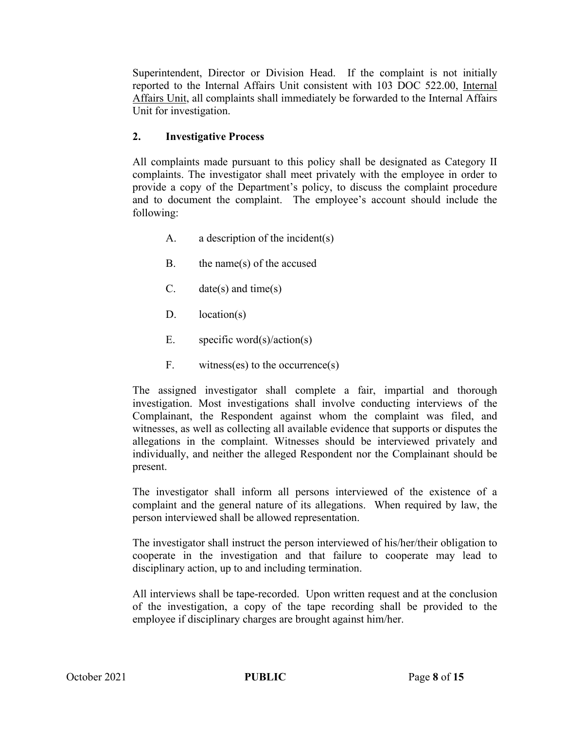Superintendent, Director or Division Head. If the complaint is not initially reported to the Internal Affairs Unit consistent with 103 DOC 522.00, Internal Affairs Unit, all complaints shall immediately be forwarded to the Internal Affairs Unit for investigation.

## **2. Investigative Process**

All complaints made pursuant to this policy shall be designated as Category II complaints. The investigator shall meet privately with the employee in order to provide a copy of the Department's policy, to discuss the complaint procedure and to document the complaint. The employee's account should include the following:

- A. a description of the incident(s)
- B. the name(s) of the accused
- C. date(s) and time(s)
- $D.$  location(s)
- E. specific word(s)/action(s)
- F. witness(es) to the occurrence(s)

The assigned investigator shall complete a fair, impartial and thorough investigation. Most investigations shall involve conducting interviews of the Complainant, the Respondent against whom the complaint was filed, and witnesses, as well as collecting all available evidence that supports or disputes the allegations in the complaint. Witnesses should be interviewed privately and individually, and neither the alleged Respondent nor the Complainant should be present.

The investigator shall inform all persons interviewed of the existence of a complaint and the general nature of its allegations. When required by law, the person interviewed shall be allowed representation.

The investigator shall instruct the person interviewed of his/her/their obligation to cooperate in the investigation and that failure to cooperate may lead to disciplinary action, up to and including termination.

All interviews shall be tape-recorded. Upon written request and at the conclusion of the investigation, a copy of the tape recording shall be provided to the employee if disciplinary charges are brought against him/her.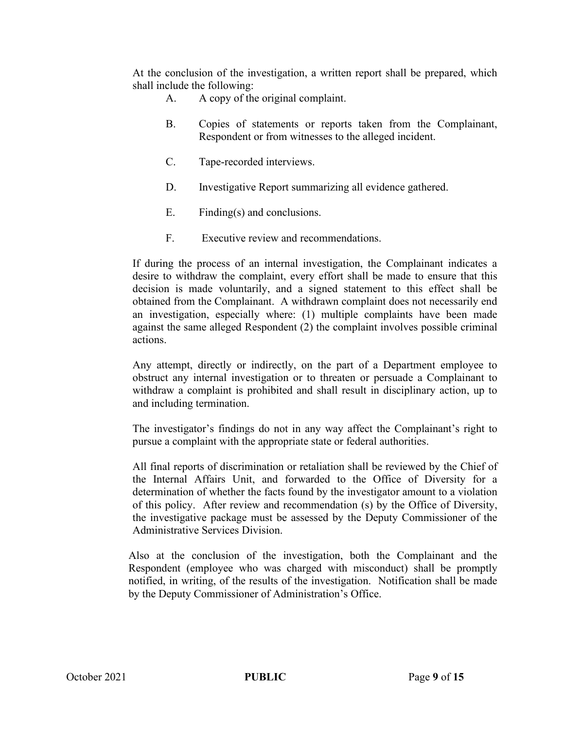At the conclusion of the investigation, a written report shall be prepared, which shall include the following:

- A. A copy of the original complaint.
- B. Copies of statements or reports taken from the Complainant, Respondent or from witnesses to the alleged incident.
- C. Tape-recorded interviews.
- D. Investigative Report summarizing all evidence gathered.
- E. Finding(s) and conclusions.
- F. Executive review and recommendations.

If during the process of an internal investigation, the Complainant indicates a desire to withdraw the complaint, every effort shall be made to ensure that this decision is made voluntarily, and a signed statement to this effect shall be obtained from the Complainant. A withdrawn complaint does not necessarily end an investigation, especially where: (1) multiple complaints have been made against the same alleged Respondent (2) the complaint involves possible criminal actions.

Any attempt, directly or indirectly, on the part of a Department employee to obstruct any internal investigation or to threaten or persuade a Complainant to withdraw a complaint is prohibited and shall result in disciplinary action, up to and including termination.

The investigator's findings do not in any way affect the Complainant's right to pursue a complaint with the appropriate state or federal authorities.

All final reports of discrimination or retaliation shall be reviewed by the Chief of the Internal Affairs Unit, and forwarded to the Office of Diversity for a determination of whether the facts found by the investigator amount to a violation of this policy. After review and recommendation (s) by the Office of Diversity, the investigative package must be assessed by the Deputy Commissioner of the Administrative Services Division.

Also at the conclusion of the investigation, both the Complainant and the Respondent (employee who was charged with misconduct) shall be promptly notified, in writing, of the results of the investigation. Notification shall be made by the Deputy Commissioner of Administration's Office.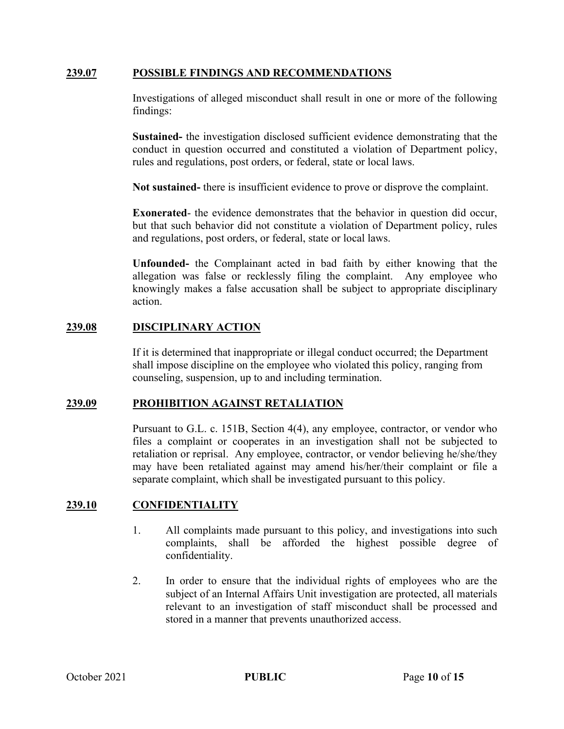#### **239.07 POSSIBLE FINDINGS AND RECOMMENDATIONS**

Investigations of alleged misconduct shall result in one or more of the following findings:

**Sustained-** the investigation disclosed sufficient evidence demonstrating that the conduct in question occurred and constituted a violation of Department policy, rules and regulations, post orders, or federal, state or local laws.

**Not sustained-** there is insufficient evidence to prove or disprove the complaint.

**Exonerated**- the evidence demonstrates that the behavior in question did occur, but that such behavior did not constitute a violation of Department policy, rules and regulations, post orders, or federal, state or local laws.

**Unfounded-** the Complainant acted in bad faith by either knowing that the allegation was false or recklessly filing the complaint. Any employee who knowingly makes a false accusation shall be subject to appropriate disciplinary action.

## **239.08 DISCIPLINARY ACTION**

If it is determined that inappropriate or illegal conduct occurred; the Department shall impose discipline on the employee who violated this policy, ranging from counseling, suspension, up to and including termination.

## **239.09 PROHIBITION AGAINST RETALIATION**

Pursuant to G.L. c. 151B, Section 4(4), any employee, contractor, or vendor who files a complaint or cooperates in an investigation shall not be subjected to retaliation or reprisal. Any employee, contractor, or vendor believing he/she/they may have been retaliated against may amend his/her/their complaint or file a separate complaint, which shall be investigated pursuant to this policy.

## **239.10 CONFIDENTIALITY**

- 1. All complaints made pursuant to this policy, and investigations into such complaints, shall be afforded the highest possible degree of confidentiality.
- 2. In order to ensure that the individual rights of employees who are the subject of an Internal Affairs Unit investigation are protected, all materials relevant to an investigation of staff misconduct shall be processed and stored in a manner that prevents unauthorized access.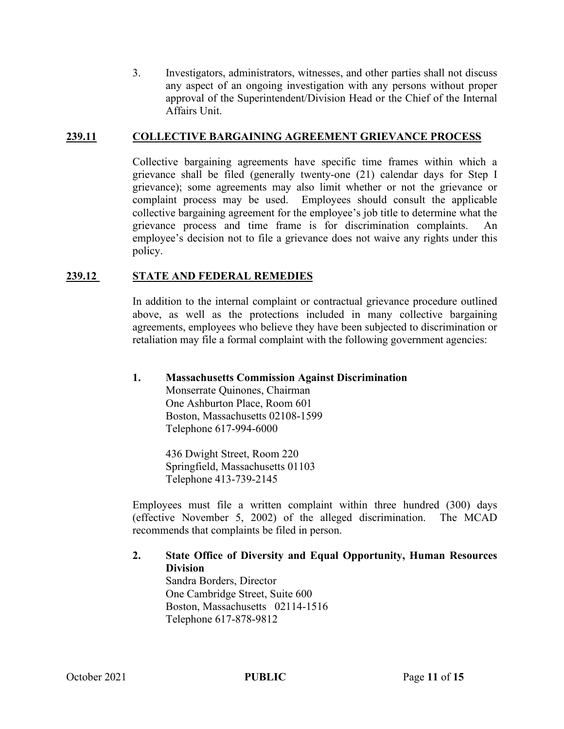3. Investigators, administrators, witnesses, and other parties shall not discuss any aspect of an ongoing investigation with any persons without proper approval of the Superintendent/Division Head or the Chief of the Internal Affairs Unit.

#### **239.11 COLLECTIVE BARGAINING AGREEMENT GRIEVANCE PROCESS**

Collective bargaining agreements have specific time frames within which a grievance shall be filed (generally twenty-one (21) calendar days for Step I grievance); some agreements may also limit whether or not the grievance or complaint process may be used. Employees should consult the applicable collective bargaining agreement for the employee's job title to determine what the grievance process and time frame is for discrimination complaints. employee's decision not to file a grievance does not waive any rights under this policy.

## **239.12 STATE AND FEDERAL REMEDIES**

In addition to the internal complaint or contractual grievance procedure outlined above, as well as the protections included in many collective bargaining agreements, employees who believe they have been subjected to discrimination or retaliation may file a formal complaint with the following government agencies:

## **1. Massachusetts Commission Against Discrimination**

Monserrate Quinones, Chairman One Ashburton Place, Room 601 Boston, Massachusetts 02108-1599 Telephone 617-994-6000

436 Dwight Street, Room 220 Springfield, Massachusetts 01103 Telephone 413-739-2145

Employees must file a written complaint within three hundred (300) days (effective November 5, 2002) of the alleged discrimination. The MCAD recommends that complaints be filed in person.

#### **2. State Office of Diversity and Equal Opportunity, Human Resources Division**

Sandra Borders, Director One Cambridge Street, Suite 600 Boston, Massachusetts 02114-1516 Telephone 617-878-9812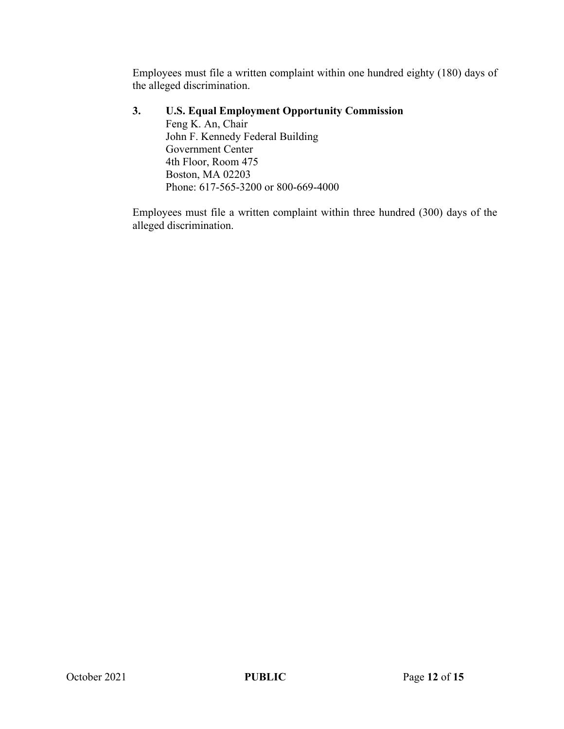Employees must file a written complaint within one hundred eighty (180) days of the alleged discrimination.

## **3. U.S. Equal Employment Opportunity Commission**

Feng K. An, Chair John F. Kennedy Federal Building Government Center 4th Floor, Room 475 Boston, MA 02203 Phone: 617-565-3200 or 800-669-4000

Employees must file a written complaint within three hundred (300) days of the alleged discrimination.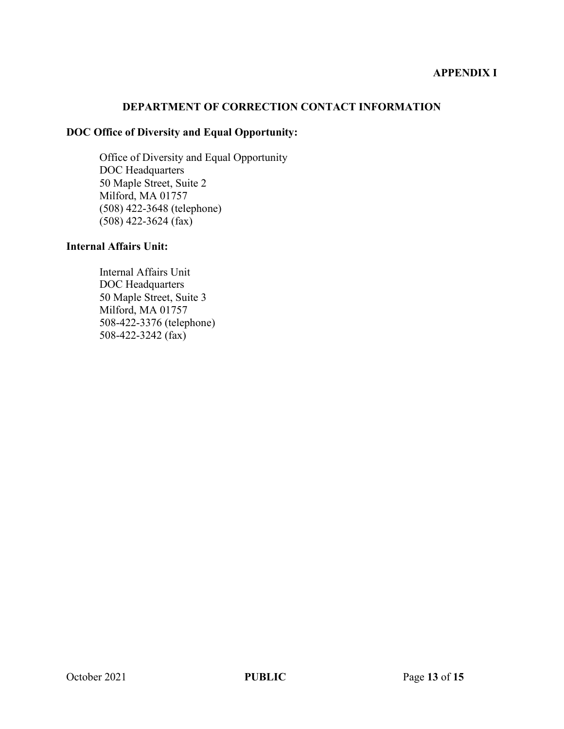## **APPENDIX I**

#### **DEPARTMENT OF CORRECTION CONTACT INFORMATION**

# **DOC Office of Diversity and Equal Opportunity:**

Office of Diversity and Equal Opportunity DOC Headquarters 50 Maple Street, Suite 2 Milford, MA 01757 (508) 422-3648 (telephone) (508) 422-3624 (fax)

#### **Internal Affairs Unit:**

Internal Affairs Unit DOC Headquarters 50 Maple Street, Suite 3 Milford, MA 01757 508-422-3376 (telephone) 508-422-3242 (fax)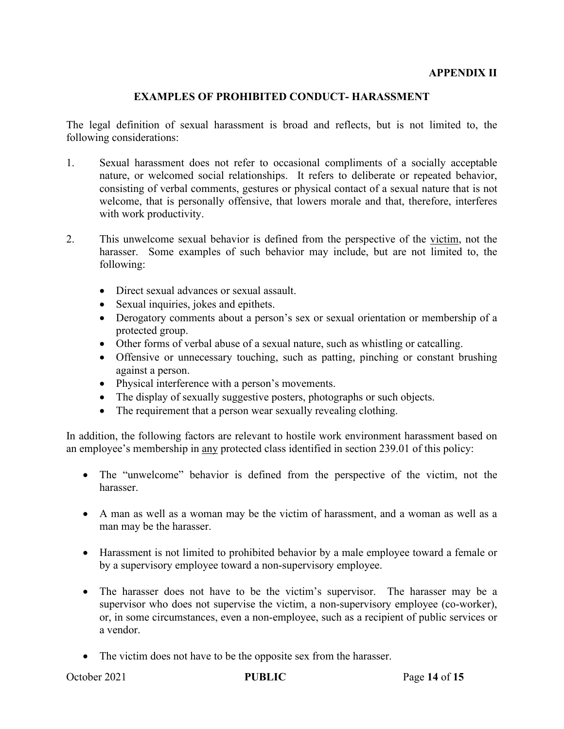#### **APPENDIX II**

#### **EXAMPLES OF PROHIBITED CONDUCT- HARASSMENT**

The legal definition of sexual harassment is broad and reflects, but is not limited to, the following considerations:

- 1. Sexual harassment does not refer to occasional compliments of a socially acceptable nature, or welcomed social relationships. It refers to deliberate or repeated behavior, consisting of verbal comments, gestures or physical contact of a sexual nature that is not welcome, that is personally offensive, that lowers morale and that, therefore, interferes with work productivity.
- 2. This unwelcome sexual behavior is defined from the perspective of the victim, not the harasser. Some examples of such behavior may include, but are not limited to, the following:
	- Direct sexual advances or sexual assault.
	- Sexual inquiries, jokes and epithets.
	- Derogatory comments about a person's sex or sexual orientation or membership of a protected group.
	- Other forms of verbal abuse of a sexual nature, such as whistling or catcalling.
	- Offensive or unnecessary touching, such as patting, pinching or constant brushing against a person.
	- Physical interference with a person's movements.
	- The display of sexually suggestive posters, photographs or such objects.
	- The requirement that a person wear sexually revealing clothing.

In addition, the following factors are relevant to hostile work environment harassment based on an employee's membership in any protected class identified in section 239.01 of this policy:

- The "unwelcome" behavior is defined from the perspective of the victim, not the harasser.
- A man as well as a woman may be the victim of harassment, and a woman as well as a man may be the harasser.
- Harassment is not limited to prohibited behavior by a male employee toward a female or by a supervisory employee toward a non-supervisory employee.
- The harasser does not have to be the victim's supervisor. The harasser may be a supervisor who does not supervise the victim, a non-supervisory employee (co-worker), or, in some circumstances, even a non-employee, such as a recipient of public services or a vendor.
- The victim does not have to be the opposite sex from the harasser.